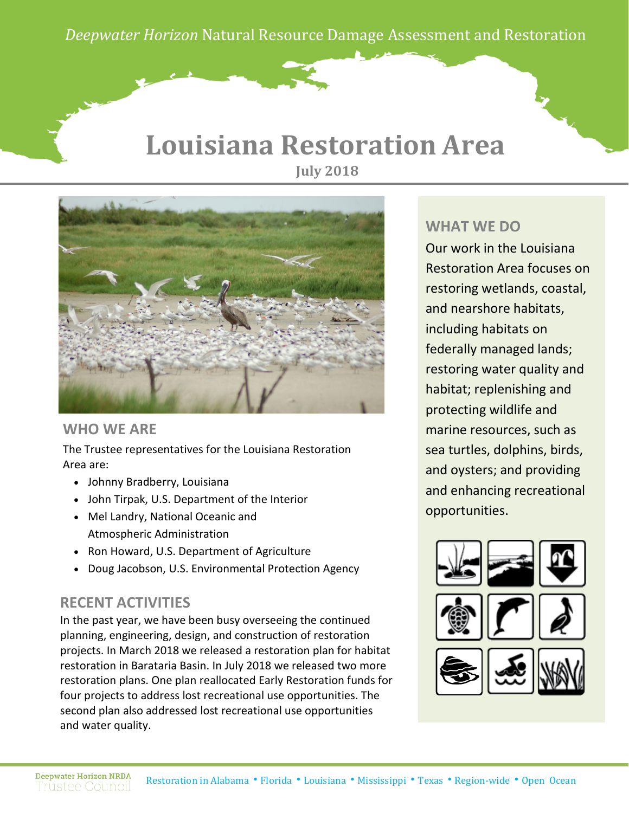*Deepwater Horizon* Natural Resource Damage Assessment and Restoration

#### **Louisiana Restoration Area July 2018**



#### **WHO WE ARE**

The Trustee representatives for the Louisiana Restoration Area are:

- Johnny Bradberry, Louisiana
- John Tirpak, U.S. Department of the Interior
- Mel Landry, National Oceanic and Atmospheric Administration
- Ron Howard, U.S. Department of Agriculture
- Doug Jacobson, U.S. Environmental Protection Agency

#### **RECENT ACTIVITIES**

In the past year, we have been busy overseeing the continued planning, engineering, design, and construction of restoration projects. In March 2018 we released a restoration plan for habitat restoration in Barataria Basin. In July 2018 we released two more restoration plans. One plan reallocated Early Restoration funds for four projects to address lost recreational use opportunities. The second plan also addressed lost recreational use opportunities and water quality.

#### **WHAT WE DO**

Our work in the Louisiana Restoration Area focuses on restoring wetlands, coastal, and nearshore habitats, including habitats on federally managed lands; restoring water quality and habitat; replenishing and protecting wildlife and marine resources, such as sea turtles, dolphins, birds, and oysters; and providing and enhancing recreational opportunities.

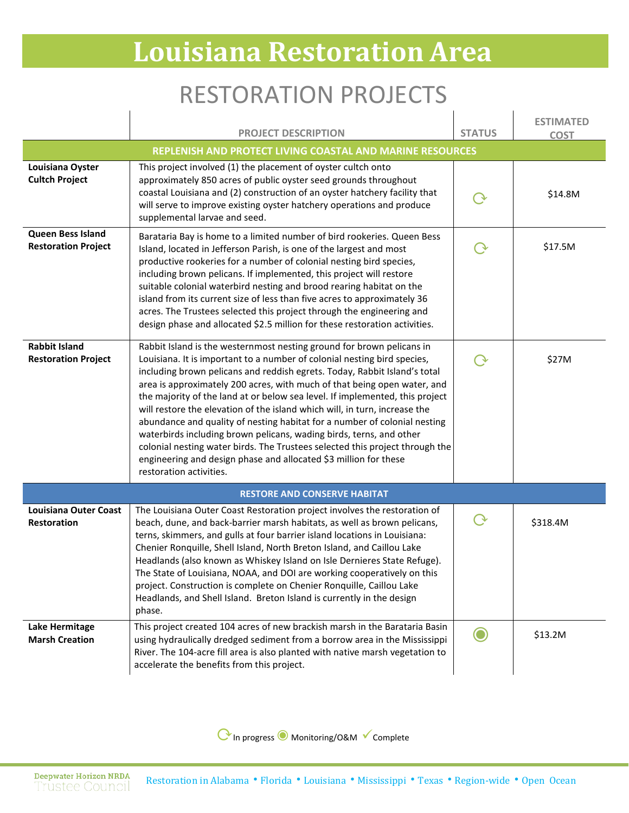## RESTORATION PROJECTS

|                                                           | <b>PROJECT DESCRIPTION</b>                                                                                                                                                                                                                                                                                                                                                                                                                                                                                                                                                                                                                                                                                                                                                                                  | <b>STATUS</b> | <b>ESTIMATED</b><br><b>COST</b> |  |
|-----------------------------------------------------------|-------------------------------------------------------------------------------------------------------------------------------------------------------------------------------------------------------------------------------------------------------------------------------------------------------------------------------------------------------------------------------------------------------------------------------------------------------------------------------------------------------------------------------------------------------------------------------------------------------------------------------------------------------------------------------------------------------------------------------------------------------------------------------------------------------------|---------------|---------------------------------|--|
| REPLENISH AND PROTECT LIVING COASTAL AND MARINE RESOURCES |                                                                                                                                                                                                                                                                                                                                                                                                                                                                                                                                                                                                                                                                                                                                                                                                             |               |                                 |  |
| Louisiana Oyster<br><b>Cultch Project</b>                 | This project involved (1) the placement of oyster cultch onto<br>approximately 850 acres of public oyster seed grounds throughout<br>coastal Louisiana and (2) construction of an oyster hatchery facility that<br>will serve to improve existing oyster hatchery operations and produce<br>supplemental larvae and seed.                                                                                                                                                                                                                                                                                                                                                                                                                                                                                   |               | \$14.8M                         |  |
| Queen Bess Island<br><b>Restoration Project</b>           | Barataria Bay is home to a limited number of bird rookeries. Queen Bess<br>Island, located in Jefferson Parish, is one of the largest and most<br>productive rookeries for a number of colonial nesting bird species,<br>including brown pelicans. If implemented, this project will restore<br>suitable colonial waterbird nesting and brood rearing habitat on the<br>island from its current size of less than five acres to approximately 36<br>acres. The Trustees selected this project through the engineering and<br>design phase and allocated \$2.5 million for these restoration activities.                                                                                                                                                                                                     |               | \$17.5M                         |  |
| <b>Rabbit Island</b><br><b>Restoration Project</b>        | Rabbit Island is the westernmost nesting ground for brown pelicans in<br>Louisiana. It is important to a number of colonial nesting bird species,<br>including brown pelicans and reddish egrets. Today, Rabbit Island's total<br>area is approximately 200 acres, with much of that being open water, and<br>the majority of the land at or below sea level. If implemented, this project<br>will restore the elevation of the island which will, in turn, increase the<br>abundance and quality of nesting habitat for a number of colonial nesting<br>waterbirds including brown pelicans, wading birds, terns, and other<br>colonial nesting water birds. The Trustees selected this project through the<br>engineering and design phase and allocated \$3 million for these<br>restoration activities. |               | \$27M                           |  |
|                                                           | <b>RESTORE AND CONSERVE HABITAT</b>                                                                                                                                                                                                                                                                                                                                                                                                                                                                                                                                                                                                                                                                                                                                                                         |               |                                 |  |
| <b>Louisiana Outer Coast</b><br>Restoration               | The Louisiana Outer Coast Restoration project involves the restoration of<br>beach, dune, and back-barrier marsh habitats, as well as brown pelicans,<br>terns, skimmers, and gulls at four barrier island locations in Louisiana:<br>Chenier Ronquille, Shell Island, North Breton Island, and Caillou Lake<br>Headlands (also known as Whiskey Island on Isle Dernieres State Refuge).<br>The State of Louisiana, NOAA, and DOI are working cooperatively on this<br>project. Construction is complete on Chenier Ronquille, Caillou Lake<br>Headlands, and Shell Island. Breton Island is currently in the design<br>phase.                                                                                                                                                                              | $\rm{O}$      | \$318.4M                        |  |
| <b>Lake Hermitage</b><br><b>Marsh Creation</b>            | This project created 104 acres of new brackish marsh in the Barataria Basin<br>using hydraulically dredged sediment from a borrow area in the Mississippi<br>River. The 104-acre fill area is also planted with native marsh vegetation to<br>accelerate the benefits from this project.                                                                                                                                                                                                                                                                                                                                                                                                                                                                                                                    |               | \$13.2M                         |  |

⟳In progress◉ Monitoring/O&M Complete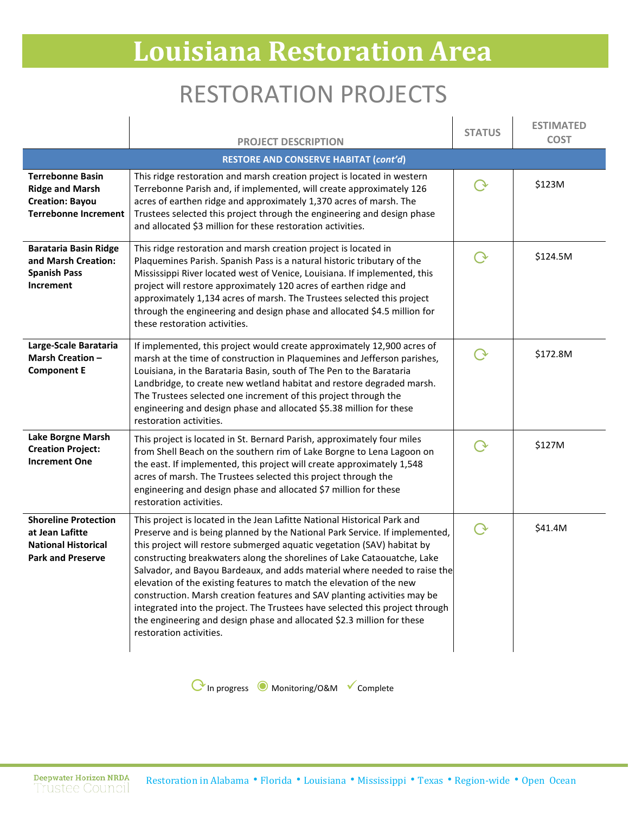## RESTORATION PROJECTS

|                                                                                                            | <b>PROJECT DESCRIPTION</b>                                                                                                                                                                                                                                                                                                                                                                                                                                                                                                                                                                                                                                                                                                          | <b>STATUS</b> | <b>ESTIMATED</b><br><b>COST</b> |
|------------------------------------------------------------------------------------------------------------|-------------------------------------------------------------------------------------------------------------------------------------------------------------------------------------------------------------------------------------------------------------------------------------------------------------------------------------------------------------------------------------------------------------------------------------------------------------------------------------------------------------------------------------------------------------------------------------------------------------------------------------------------------------------------------------------------------------------------------------|---------------|---------------------------------|
|                                                                                                            | <b>RESTORE AND CONSERVE HABITAT (cont'd)</b>                                                                                                                                                                                                                                                                                                                                                                                                                                                                                                                                                                                                                                                                                        |               |                                 |
| <b>Terrebonne Basin</b><br><b>Ridge and Marsh</b><br><b>Creation: Bayou</b><br><b>Terrebonne Increment</b> | This ridge restoration and marsh creation project is located in western<br>Terrebonne Parish and, if implemented, will create approximately 126<br>acres of earthen ridge and approximately 1,370 acres of marsh. The<br>Trustees selected this project through the engineering and design phase<br>and allocated \$3 million for these restoration activities.                                                                                                                                                                                                                                                                                                                                                                     |               | \$123M                          |
| <b>Barataria Basin Ridge</b><br>and Marsh Creation:<br><b>Spanish Pass</b><br>Increment                    | This ridge restoration and marsh creation project is located in<br>Plaquemines Parish. Spanish Pass is a natural historic tributary of the<br>Mississippi River located west of Venice, Louisiana. If implemented, this<br>project will restore approximately 120 acres of earthen ridge and<br>approximately 1,134 acres of marsh. The Trustees selected this project<br>through the engineering and design phase and allocated \$4.5 million for<br>these restoration activities.                                                                                                                                                                                                                                                 | ( →           | \$124.5M                        |
| Large-Scale Barataria<br><b>Marsh Creation -</b><br><b>Component E</b>                                     | If implemented, this project would create approximately 12,900 acres of<br>marsh at the time of construction in Plaquemines and Jefferson parishes,<br>Louisiana, in the Barataria Basin, south of The Pen to the Barataria<br>Landbridge, to create new wetland habitat and restore degraded marsh.<br>The Trustees selected one increment of this project through the<br>engineering and design phase and allocated \$5.38 million for these<br>restoration activities.                                                                                                                                                                                                                                                           | $\Omega$      | \$172.8M                        |
| Lake Borgne Marsh<br><b>Creation Project:</b><br><b>Increment One</b>                                      | This project is located in St. Bernard Parish, approximately four miles<br>from Shell Beach on the southern rim of Lake Borgne to Lena Lagoon on<br>the east. If implemented, this project will create approximately 1,548<br>acres of marsh. The Trustees selected this project through the<br>engineering and design phase and allocated \$7 million for these<br>restoration activities.                                                                                                                                                                                                                                                                                                                                         | $\Omega$      | \$127M                          |
| <b>Shoreline Protection</b><br>at Jean Lafitte<br><b>National Historical</b><br><b>Park and Preserve</b>   | This project is located in the Jean Lafitte National Historical Park and<br>Preserve and is being planned by the National Park Service. If implemented,<br>this project will restore submerged aquatic vegetation (SAV) habitat by<br>constructing breakwaters along the shorelines of Lake Cataouatche, Lake<br>Salvador, and Bayou Bardeaux, and adds material where needed to raise the<br>elevation of the existing features to match the elevation of the new<br>construction. Marsh creation features and SAV planting activities may be<br>integrated into the project. The Trustees have selected this project through<br>the engineering and design phase and allocated \$2.3 million for these<br>restoration activities. |               | \$41.4M                         |

⟳In progress ◉ Monitoring/O&M Complete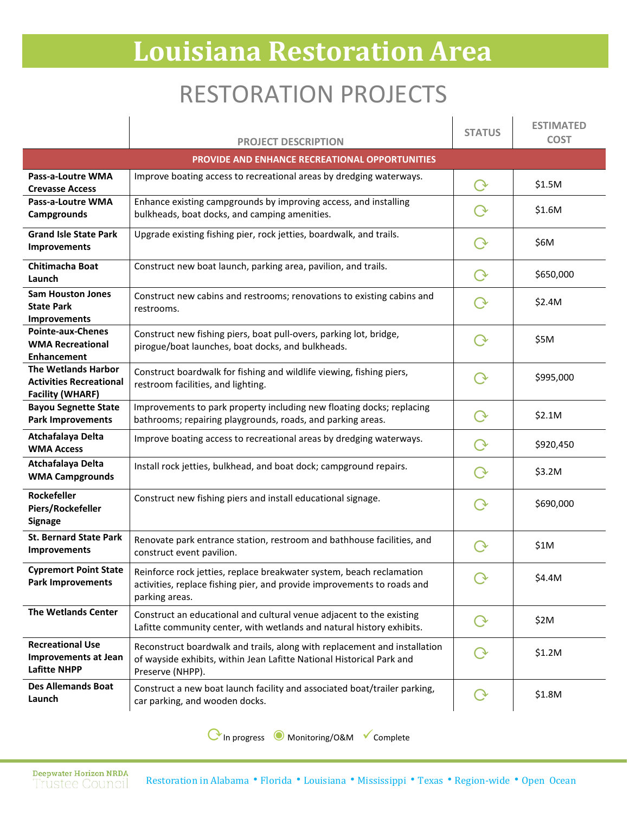## RESTORATION PROJECTS

|                                                                                         | <b>PROJECT DESCRIPTION</b>                                                                                                                                             | <b>STATUS</b>      | <b>ESTIMATED</b><br><b>COST</b> |
|-----------------------------------------------------------------------------------------|------------------------------------------------------------------------------------------------------------------------------------------------------------------------|--------------------|---------------------------------|
|                                                                                         | <b>PROVIDE AND ENHANCE RECREATIONAL OPPORTUNITIES</b>                                                                                                                  |                    |                                 |
| Pass-a-Loutre WMA<br><b>Crevasse Access</b>                                             | Improve boating access to recreational areas by dredging waterways.                                                                                                    |                    | \$1.5M                          |
| Pass-a-Loutre WMA<br>Campgrounds                                                        | Enhance existing campgrounds by improving access, and installing<br>bulkheads, boat docks, and camping amenities.                                                      |                    | \$1.6M                          |
| <b>Grand Isle State Park</b><br><b>Improvements</b>                                     | Upgrade existing fishing pier, rock jetties, boardwalk, and trails.                                                                                                    |                    | \$6M                            |
| Chitimacha Boat<br>Launch                                                               | Construct new boat launch, parking area, pavilion, and trails.                                                                                                         | $\rm{O}$           | \$650,000                       |
| <b>Sam Houston Jones</b><br><b>State Park</b><br><b>Improvements</b>                    | Construct new cabins and restrooms; renovations to existing cabins and<br>restrooms.                                                                                   |                    | \$2.4M                          |
| <b>Pointe-aux-Chenes</b><br><b>WMA Recreational</b><br><b>Enhancement</b>               | Construct new fishing piers, boat pull-overs, parking lot, bridge,<br>pirogue/boat launches, boat docks, and bulkheads.                                                |                    | \$5M                            |
| <b>The Wetlands Harbor</b><br><b>Activities Recreational</b><br><b>Facility (WHARF)</b> | Construct boardwalk for fishing and wildlife viewing, fishing piers,<br>restroom facilities, and lighting.                                                             |                    | \$995,000                       |
| <b>Bayou Segnette State</b><br><b>Park Improvements</b>                                 | Improvements to park property including new floating docks; replacing<br>bathrooms; repairing playgrounds, roads, and parking areas.                                   |                    | \$2.1M                          |
| Atchafalaya Delta<br><b>WMA Access</b>                                                  | Improve boating access to recreational areas by dredging waterways.                                                                                                    |                    | \$920,450                       |
| Atchafalaya Delta<br><b>WMA Campgrounds</b>                                             | Install rock jetties, bulkhead, and boat dock; campground repairs.                                                                                                     |                    | \$3.2M                          |
| Rockefeller<br>Piers/Rockefeller<br><b>Signage</b>                                      | Construct new fishing piers and install educational signage.                                                                                                           |                    | \$690,000                       |
| <b>St. Bernard State Park</b><br><b>Improvements</b>                                    | Renovate park entrance station, restroom and bathhouse facilities, and<br>construct event pavilion.                                                                    |                    | \$1M                            |
| <b>Cypremort Point State</b><br><b>Park Improvements</b>                                | Reinforce rock jetties, replace breakwater system, beach reclamation<br>activities, replace fishing pier, and provide improvements to roads and<br>parking areas.      | $\curvearrowright$ | \$4.4M                          |
| <b>The Wetlands Center</b>                                                              | Construct an educational and cultural venue adjacent to the existing<br>Lafitte community center, with wetlands and natural history exhibits.                          |                    | \$2M                            |
| <b>Recreational Use</b><br><b>Improvements at Jean</b><br><b>Lafitte NHPP</b>           | Reconstruct boardwalk and trails, along with replacement and installation<br>of wayside exhibits, within Jean Lafitte National Historical Park and<br>Preserve (NHPP). |                    | \$1.2M                          |
| <b>Des Allemands Boat</b><br>Launch                                                     | Construct a new boat launch facility and associated boat/trailer parking,<br>car parking, and wooden docks.                                                            | ( →                | \$1.8M                          |

⟳In progress ◉ Monitoring/O&M Complete